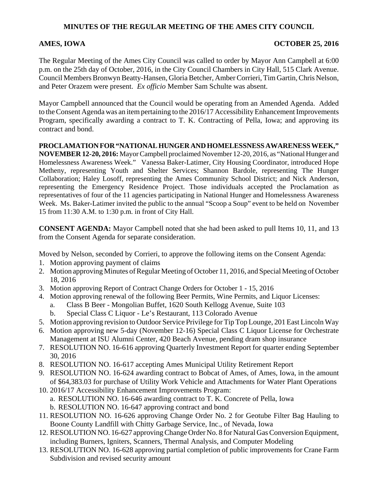## **MINUTES OF THE REGULAR MEETING OF THE AMES CITY COUNCIL**

## AMES, IOWA **OCTOBER 25, 2016**

The Regular Meeting of the Ames City Council was called to order by Mayor Ann Campbell at 6:00 p.m. on the 25th day of October, 2016, in the City Council Chambers in City Hall, 515 Clark Avenue. Council Members Bronwyn Beatty-Hansen, Gloria Betcher, Amber Corrieri, Tim Gartin, Chris Nelson, and Peter Orazem were present. *Ex officio* Member Sam Schulte was absent.

Mayor Campbell announced that the Council would be operating from an Amended Agenda. Added to the Consent Agenda was an item pertaining to the 2016/17 Accessibility Enhancement Improvements Program, specifically awarding a contract to T. K. Contracting of Pella, Iowa; and approving its contract and bond.

**PROCLAMATION FOR "NATIONAL HUNGER AND HOMELESSNESS AWARENESS WEEK," NOVEMBER 12-20, 2016:** Mayor Campbell proclaimed November 12-20, 2016, as "National Hunger and Homelessness Awareness Week." Vanessa Baker-Latimer, City Housing Coordinator, introduced Hope Metheny, representing Youth and Shelter Services; Shannon Bardole, representing The Hunger Collaboration; Haley Losoff, representing the Ames Community School District; and Nick Anderson, representing the Emergency Residence Project. Those individuals accepted the Proclamation as representatives of four of the 11 agencies participating in National Hunger and Homelessness Awareness Week. Ms. Baker-Latimer invited the public to the annual "Scoop a Soup" event to be held on November 15 from 11:30 A.M. to 1:30 p.m. in front of City Hall.

**CONSENT AGENDA:** Mayor Campbell noted that she had been asked to pull Items 10, 11, and 13 from the Consent Agenda for separate consideration.

Moved by Nelson, seconded by Corrieri, to approve the following items on the Consent Agenda:

- 1. Motion approving payment of claims
- 2. Motion approving Minutes of Regular Meeting of October 11, 2016, and Special Meeting of October 18, 2016
- 3. Motion approving Report of Contract Change Orders for October 1 15, 2016
- 4. Motion approving renewal of the following Beer Permits, Wine Permits, and Liquor Licenses:
	- a. Class B Beer Mongolian Buffet, 1620 South Kellogg Avenue, Suite 103
	- b. Special Class C Liquor Le's Restaurant, 113 Colorado Avenue
- 5. Motion approving revision to Outdoor Service Privilege for Tip Top Lounge, 201 East Lincoln Way
- 6. Motion approving new 5-day (November 12-16) Special Class C Liquor License for Orchestrate Management at ISU Alumni Center, 420 Beach Avenue, pending dram shop insurance
- 7. RESOLUTION NO. 16-616 approving Quarterly Investment Report for quarter ending September 30, 2016
- 8. RESOLUTION NO. 16-617 accepting Ames Municipal Utility Retirement Report
- 9. RESOLUTION NO. 16-624 awarding contract to Bobcat of Ames, of Ames, Iowa, in the amount of \$64,383.03 for purchase of Utility Work Vehicle and Attachments for Water Plant Operations
- 10. 2016/17 Accessibility Enhancement Improvements Program:
	- a. RESOLUTION NO. 16-646 awarding contract to T. K. Concrete of Pella, Iowa b. RESOLUTION NO. 16-647 approving contract and bond
- 11. RESOLUTION NO. 16-626 approving Change Order No. 2 for Geotube Filter Bag Hauling to Boone County Landfill with Chitty Garbage Service, Inc., of Nevada, Iowa
- 12. RESOLUTION NO. 16-627 approving Change Order No. 8 for Natural Gas Conversion Equipment, including Burners, Igniters, Scanners, Thermal Analysis, and Computer Modeling
- 13. RESOLUTION NO. 16-628 approving partial completion of public improvements for Crane Farm Subdivision and revised security amount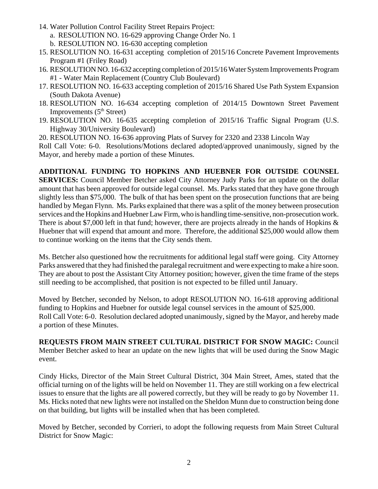- 14. Water Pollution Control Facility Street Repairs Project: a. RESOLUTION NO. 16-629 approving Change Order No. 1 b. RESOLUTION NO. 16-630 accepting completion
- 15. RESOLUTION NO. 16-631 accepting completion of 2015/16 Concrete Pavement Improvements Program #1 (Friley Road)
- 16. RESOLUTION NO. 16-632 accepting completion of 2015/16 Water System Improvements Program #1 - Water Main Replacement (Country Club Boulevard)
- 17. RESOLUTION NO. 16-633 accepting completion of 2015/16 Shared Use Path System Expansion (South Dakota Avenue)
- 18. RESOLUTION NO. 16-634 accepting completion of 2014/15 Downtown Street Pavement Improvements  $(5<sup>th</sup> Street)$
- 19. RESOLUTION NO. 16-635 accepting completion of 2015/16 Traffic Signal Program (U.S. Highway 30/University Boulevard)
- 20. RESOLUTION NO. 16-636 approving Plats of Survey for 2320 and 2338 Lincoln Way

Roll Call Vote: 6-0. Resolutions/Motions declared adopted/approved unanimously, signed by the Mayor, and hereby made a portion of these Minutes.

**ADDITIONAL FUNDING TO HOPKINS AND HUEBNER FOR OUTSIDE COUNSEL SERVICES:** Council Member Betcher asked City Attorney Judy Parks for an update on the dollar amount that has been approved for outside legal counsel. Ms. Parks stated that they have gone through slightly less than \$75,000. The bulk of that has been spent on the prosecution functions that are being handled by Megan Flynn. Ms. Parks explained that there was a split of the money between prosecution services and the Hopkins and Huebner Law Firm, who is handling time-sensitive, non-prosecution work. There is about \$7,000 left in that fund; however, there are projects already in the hands of Hopkins & Huebner that will expend that amount and more. Therefore, the additional \$25,000 would allow them to continue working on the items that the City sends them.

Ms. Betcher also questioned how the recruitments for additional legal staff were going. City Attorney Parks answered that they had finished the paralegal recruitment and were expecting to make a hire soon. They are about to post the Assistant City Attorney position; however, given the time frame of the steps still needing to be accomplished, that position is not expected to be filled until January.

Moved by Betcher, seconded by Nelson, to adopt RESOLUTION NO. 16-618 approving additional funding to Hopkins and Huebner for outside legal counsel services in the amount of \$25,000. Roll Call Vote: 6-0. Resolution declared adopted unanimously, signed by the Mayor, and hereby made a portion of these Minutes.

**REQUESTS FROM MAIN STREET CULTURAL DISTRICT FOR SNOW MAGIC:** Council Member Betcher asked to hear an update on the new lights that will be used during the Snow Magic event.

Cindy Hicks, Director of the Main Street Cultural District, 304 Main Street, Ames, stated that the official turning on of the lights will be held on November 11. They are still working on a few electrical issues to ensure that the lights are all powered correctly, but they will be ready to go by November 11. Ms. Hicks noted that new lights were not installed on the Sheldon Munn due to construction being done on that building, but lights will be installed when that has been completed.

Moved by Betcher, seconded by Corrieri, to adopt the following requests from Main Street Cultural District for Snow Magic: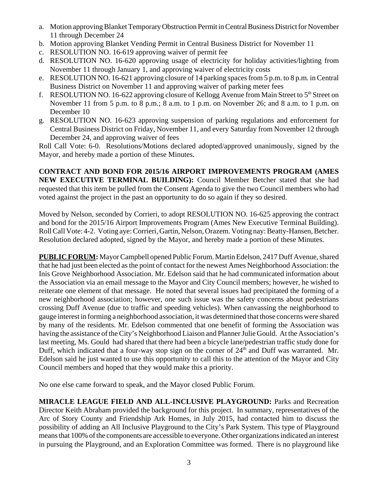- a. Motion approving Blanket Temporary Obstruction Permit in Central Business District for November 11 through December 24
- b. Motion approving Blanket Vending Permit in Central Business District for November 11
- c. RESOLUTION NO. 16-619 approving waiver of permit fee
- d. RESOLUTION NO. 16-620 approving usage of electricity for holiday activities/lighting from November 11 through January 1, and approving waiver of electricity costs
- e. RESOLUTION NO. 16-621 approving closure of 14 parking spaces from 5 p.m. to 8 p.m. in Central Business District on November 11 and approving waiver of parking meter fees
- f. RESOLUTION NO. 16-622 approving closure of Kellogg Avenue from Main Street to  $5<sup>th</sup>$  Street on November 11 from 5 p.m. to 8 p.m.; 8 a.m. to 1 p.m. on November 26; and 8 a.m. to 1 p.m. on December 10
- g. RESOLUTION NO. 16-623 approving suspension of parking regulations and enforcement for Central Business District on Friday, November 11, and every Saturday from November 12 through December 24, and approving waiver of fees

Roll Call Vote: 6-0. Resolutions/Motions declared adopted/approved unanimously, signed by the Mayor, and hereby made a portion of these Minutes.

**CONTRACT AND BOND FOR 2015/16 AIRPORT IMPROVEMENTS PROGRAM (AMES NEW EXECUTIVE TERMINAL BUILDING):** Council Member Betcher stated that she had requested that this item be pulled from the Consent Agenda to give the two Council members who had voted against the project in the past an opportunity to do so again if they so desired.

Moved by Nelson, seconded by Corrieri, to adopt RESOLUTION NO. 16-625 approving the contract and bond for the 2015/16 Airport Improvements Program (Ames New Executive Terminal Building). Roll Call Vote: 4-2. Voting aye: Corrieri, Gartin, Nelson, Orazem. Voting nay: Beatty-Hansen, Betcher. Resolution declared adopted, signed by the Mayor, and hereby made a portion of these Minutes.

**PUBLIC FORUM:** Mayor Campbell opened Public Forum. Martin Edelson, 2417 Duff Avenue, shared that he had just been elected as the point of contact for the newest Ames Neighborhood Association: the Inis Grove Neighborhood Association. Mr. Edelson said that he had communicated information about the Association via an email message to the Mayor and City Council members; however, he wished to reiterate one element of that message. He noted that several issues had precipitated the forming of a new neighborhood association; however, one such issue was the safety concerns about pedestrians crossing Duff Avenue (due to traffic and speeding vehicles). When canvassing the neighborhood to gauge interest in forming a neighborhood association, it was determined that those concerns were shared by many of the residents. Mr. Edelson commented that one benefit of forming the Association was having the assistance of the City's Neighborhood Liaison and Planner Julie Gould. At the Association's last meeting, Ms. Gould had shared that there had been a bicycle lane/pedestrian traffic study done for Duff, which indicated that a four-way stop sign on the corner of 24<sup>th</sup> and Duff was warranted. Mr. Edelson said he just wanted to use this opportunity to call this to the attention of the Mayor and City Council members and hoped that they would make this a priority.

No one else came forward to speak, and the Mayor closed Public Forum.

**MIRACLE LEAGUE FIELD AND ALL-INCLUSIVE PLAYGROUND:** Parks and Recreation Director Keith Abraham provided the background for this project. In summary, representatives of the Arc of Story County and Friendship Ark Homes, in July 2015, had contacted him to discuss the possibility of adding an All Inclusive Playground to the City's Park System. This type of Playground means that 100% of the components are accessible to everyone. Other organizations indicated an interest in pursuing the Playground, and an Exploration Committee was formed. There is no playground like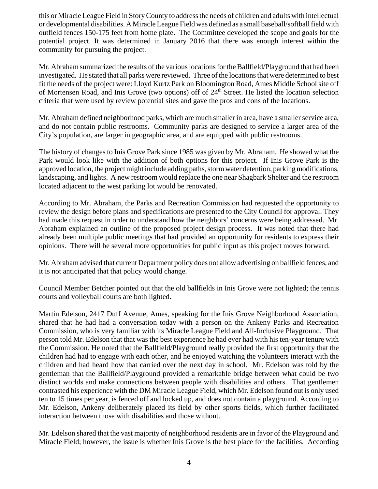this or Miracle League Field in Story County to address the needs of children and adults with intellectual or developmental disabilities. A Miracle League Field was defined as a small baseball/softball field with outfield fences 150-175 feet from home plate. The Committee developed the scope and goals for the potential project. It was determined in January 2016 that there was enough interest within the community for pursuing the project.

Mr. Abraham summarized the results of the various locations for the Ballfield/Playground that had been investigated. He stated that all parks were reviewed. Three of the locations that were determined to best fit the needs of the project were: Lloyd Kurtz Park on Bloomington Road, Ames Middle School site off of Mortensen Road, and Inis Grove (two options) off of 24<sup>th</sup> Street. He listed the location selection criteria that were used by review potential sites and gave the pros and cons of the locations.

Mr. Abraham defined neighborhood parks, which are much smaller in area, have a smaller service area, and do not contain public restrooms. Community parks are designed to service a larger area of the City's population, are larger in geographic area, and are equipped with public restrooms.

The history of changes to Inis Grove Park since 1985 was given by Mr. Abraham. He showed what the Park would look like with the addition of both options for this project. If Inis Grove Park is the approved location, the project might include adding paths, storm water detention, parking modifications, landscaping, and lights. A new restroom would replace the one near Shagbark Shelter and the restroom located adjacent to the west parking lot would be renovated.

According to Mr. Abraham, the Parks and Recreation Commission had requested the opportunity to review the design before plans and specifications are presented to the City Council for approval. They had made this request in order to understand how the neighbors' concerns were being addressed. Mr. Abraham explained an outline of the proposed project design process. It was noted that there had already been multiple public meetings that had provided an opportunity for residents to express their opinions. There will be several more opportunities for public input as this project moves forward.

Mr. Abraham advised that current Department policy does not allow advertising on ballfield fences, and it is not anticipated that that policy would change.

Council Member Betcher pointed out that the old ballfields in Inis Grove were not lighted; the tennis courts and volleyball courts are both lighted.

Martin Edelson, 2417 Duff Avenue, Ames, speaking for the Inis Grove Neighborhood Association, shared that he had had a conversation today with a person on the Ankeny Parks and Recreation Commission, who is very familiar with its Miracle League Field and All-Inclusive Playground. That person told Mr. Edelson that that was the best experience he had ever had with his ten-year tenure with the Commission. He noted that the Ballfield/Playground really provided the first opportunity that the children had had to engage with each other, and he enjoyed watching the volunteers interact with the children and had heard how that carried over the next day in school. Mr. Edelson was told by the gentleman that the Ballfield/Playground provided a remarkable bridge between what could be two distinct worlds and make connections between people with disabilities and others. That gentlemen contrasted his experience with the DM Miracle League Field, which Mr. Edelson found out is only used ten to 15 times per year, is fenced off and locked up, and does not contain a playground. According to Mr. Edelson, Ankeny deliberately placed its field by other sports fields, which further facilitated interaction between those with disabilities and those without.

Mr. Edelson shared that the vast majority of neighborhood residents are in favor of the Playground and Miracle Field; however, the issue is whether Inis Grove is the best place for the facilities. According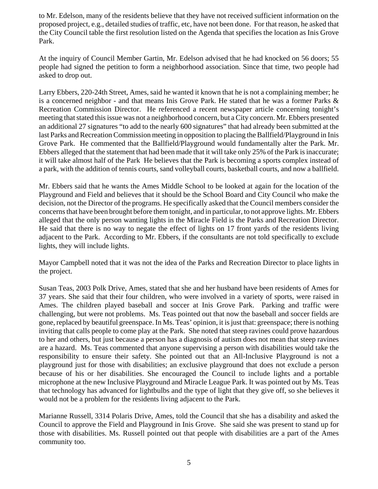to Mr. Edelson, many of the residents believe that they have not received sufficient information on the proposed project, e.g., detailed studies of traffic, etc, have not been done. For that reason, he asked that the City Council table the first resolution listed on the Agenda that specifies the location as Inis Grove Park.

At the inquiry of Council Member Gartin, Mr. Edelson advised that he had knocked on 56 doors; 55 people had signed the petition to form a neighborhood association. Since that time, two people had asked to drop out.

Larry Ebbers, 220-24th Street, Ames, said he wanted it known that he is not a complaining member; he is a concerned neighbor - and that means Inis Grove Park. He stated that he was a former Parks  $\&$ Recreation Commission Director. He referenced a recent newspaper article concerning tonight's meeting that stated this issue was not a neighborhood concern, but a City concern. Mr. Ebbers presented an additional 27 signatures "to add to the nearly 600 signatures" that had already been submitted at the last Parks and Recreation Commission meeting in opposition to placing the Ballfield/Playground in Inis Grove Park. He commented that the Ballfield/Playground would fundamentally alter the Park. Mr. Ebbers alleged that the statement that had been made that it will take only 25% of the Park is inaccurate; it will take almost half of the Park He believes that the Park is becoming a sports complex instead of a park, with the addition of tennis courts, sand volleyball courts, basketball courts, and now a ballfield.

Mr. Ebbers said that he wants the Ames Middle School to be looked at again for the location of the Playground and Field and believes that it should be the School Board and City Council who make the decision, not the Director of the programs. He specifically asked that the Council members consider the concerns that have been brought before them tonight, and in particular, to not approve lights. Mr. Ebbers alleged that the only person wanting lights in the Miracle Field is the Parks and Recreation Director. He said that there is no way to negate the effect of lights on 17 front yards of the residents living adjacent to the Park. According to Mr. Ebbers, if the consultants are not told specifically to exclude lights, they will include lights.

Mayor Campbell noted that it was not the idea of the Parks and Recreation Director to place lights in the project.

Susan Teas, 2003 Polk Drive, Ames, stated that she and her husband have been residents of Ames for 37 years. She said that their four children, who were involved in a variety of sports, were raised in Ames. The children played baseball and soccer at Inis Grove Park. Parking and traffic were challenging, but were not problems. Ms. Teas pointed out that now the baseball and soccer fields are gone, replaced by beautiful greenspace. In Ms. Teas' opinion, it is just that: greenspace; there is nothing inviting that calls people to come play at the Park. She noted that steep ravines could prove hazardous to her and others, but just because a person has a diagnosis of autism does not mean that steep ravines are a hazard. Ms. Teas commented that anyone supervising a person with disabilities would take the responsibility to ensure their safety. She pointed out that an All-Inclusive Playground is not a playground just for those with disabilities; an exclusive playground that does not exclude a person because of his or her disabilities. She encouraged the Council to include lights and a portable microphone at the new Inclusive Playground and Miracle League Park. It was pointed out by Ms. Teas that technology has advanced for lightbulbs and the type of light that they give off, so she believes it would not be a problem for the residents living adjacent to the Park.

Marianne Russell, 3314 Polaris Drive, Ames, told the Council that she has a disability and asked the Council to approve the Field and Playground in Inis Grove. She said she was present to stand up for those with disabilities. Ms. Russell pointed out that people with disabilities are a part of the Ames community too.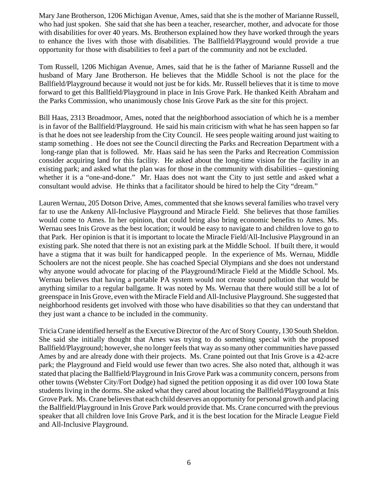Mary Jane Brotherson, 1206 Michigan Avenue, Ames, said that she is the mother of Marianne Russell, who had just spoken. She said that she has been a teacher, researcher, mother, and advocate for those with disabilities for over 40 years. Ms. Brotherson explained how they have worked through the years to enhance the lives with those with disabilities. The Ballfield/Playground would provide a true opportunity for those with disabilities to feel a part of the community and not be excluded.

Tom Russell, 1206 Michigan Avenue, Ames, said that he is the father of Marianne Russell and the husband of Mary Jane Brotherson. He believes that the Middle School is not the place for the Ballfield/Playground because it would not just be for kids. Mr. Russell believes that it is time to move forward to get this Ballfield/Playground in place in Inis Grove Park. He thanked Keith Abraham and the Parks Commission, who unanimously chose Inis Grove Park as the site for this project.

Bill Haas, 2313 Broadmoor, Ames, noted that the neighborhood association of which he is a member is in favor of the Ballfield/Playground. He said his main criticism with what he has seen happen so far is that he does not see leadership from the City Council. He sees people waiting around just waiting to stamp something . He does not see the Council directing the Parks and Recreation Department with a long-range plan that is followed. Mr. Haas said he has seen the Parks and Recreation Commission consider acquiring land for this facility. He asked about the long-time vision for the facility in an existing park; and asked what the plan was for those in the community with disabilities – questioning whether it is a "one-and-done." Mr. Haas does not want the City to just settle and asked what a consultant would advise. He thinks that a facilitator should be hired to help the City "dream."

Lauren Wernau, 205 Dotson Drive, Ames, commented that she knows several families who travel very far to use the Ankeny All-Inclusive Playground and Miracle Field. She believes that those families would come to Ames. In her opinion, that could bring also bring economic benefits to Ames. Ms. Wernau sees Inis Grove as the best location; it would be easy to navigate to and children love to go to that Park. Her opinion is that it is important to locate the Miracle Field/All-Inclusive Playground in an existing park. She noted that there is not an existing park at the Middle School. If built there, it would have a stigma that it was built for handicapped people. In the experience of Ms. Wernau, Middle Schoolers are not the nicest people. She has coached Special Olympians and she does not understand why anyone would advocate for placing of the Playground/Miracle Field at the Middle School. Ms. Wernau believes that having a portable PA system would not create sound pollution that would be anything similar to a regular ballgame. It was noted by Ms. Wernau that there would still be a lot of greenspace in Inis Grove, even with the Miracle Field and All-Inclusive Playground. She suggested that neighborhood residents get involved with those who have disabilities so that they can understand that they just want a chance to be included in the community.

Tricia Crane identified herself as the Executive Director of the Arc of Story County, 130 South Sheldon. She said she initially thought that Ames was trying to do something special with the proposed Ballfield/Playground; however, she no longer feels that way as so many other communities have passed Ames by and are already done with their projects. Ms. Crane pointed out that Inis Grove is a 42-acre park; the Playground and Field would use fewer than two acres. She also noted that, although it was stated that placing the Ballfield/Playground in Inis Grove Park was a community concern, persons from other towns (Webster City/Fort Dodge) had signed the petition opposing it as did over 100 Iowa State students living in the dorms. She asked what they cared about locating the Ballfield/Playground at Inis Grove Park. Ms. Crane believes that each child deserves an opportunity for personal growth and placing the Ballfield/Playground in Inis Grove Park would provide that. Ms. Crane concurred with the previous speaker that all children love Inis Grove Park, and it is the best location for the Miracle League Field and All-Inclusive Playground.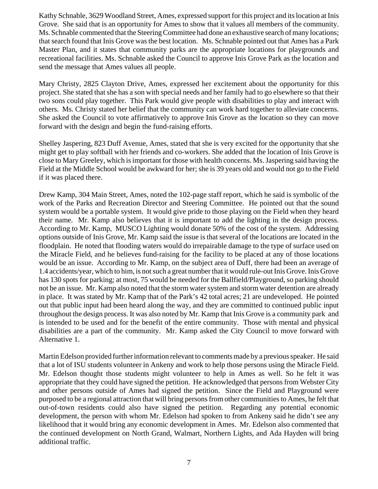Kathy Schnable, 3629 Woodland Street, Ames, expressed support for this project and its location at Inis Grove. She said that is an opportunity for Ames to show that it values all members of the community. Ms. Schnable commented that the Steering Committee had done an exhaustive search of many locations; that search found that Inis Grove was the best location. Ms. Schnable pointed out that Ames has a Park Master Plan, and it states that community parks are the appropriate locations for playgrounds and recreational facilities. Ms. Schnable asked the Council to approve Inis Grove Park as the location and send the message that Ames values all people.

Mary Christy, 2825 Clayton Drive, Ames, expressed her excitement about the opportunity for this project. She stated that she has a son with special needs and her family had to go elsewhere so that their two sons could play together. This Park would give people with disabilities to play and interact with others. Ms. Christy stated her belief that the community can work hard together to alleviate concerns. She asked the Council to vote affirmatively to approve Inis Grove as the location so they can move forward with the design and begin the fund-raising efforts.

Shelley Jaspering, 823 Duff Avenue, Ames, stated that she is very excited for the opportunity that she might get to play softball with her friends and co-workers. She added that the location of Inis Grove is close to Mary Greeley, which is important for those with health concerns. Ms. Jaspering said having the Field at the Middle School would be awkward for her; she is 39 years old and would not go to the Field if it was placed there.

Drew Kamp, 304 Main Street, Ames, noted the 102-page staff report, which he said is symbolic of the work of the Parks and Recreation Director and Steering Committee. He pointed out that the sound system would be a portable system. It would give pride to those playing on the Field when they heard their name. Mr. Kamp also believes that it is important to add the lighting in the design process. According to Mr. Kamp, MUSCO Lighting would donate 50% of the cost of the system. Addressing options outside of Inis Grove, Mr. Kamp said the issue is that several of the locations are located in the floodplain. He noted that flooding waters would do irrepairable damage to the type of surface used on the Miracle Field, and he believes fund-raising for the facility to be placed at any of those locations would be an issue. According to Mr. Kamp, on the subject area of Duff, there had been an average of 1.4 accidents/year, which to him, is not such a great number that it would rule-out Inis Grove. Inis Grove has 130 spots for parking; at most, 75 would be needed for the Ballfield/Playground, so parking should not be an issue. Mr. Kamp also noted that the storm water system and storm water detention are already in place. It was stated by Mr. Kamp that of the Park's 42 total acres; 21 are undeveloped. He pointed out that public input had been heard along the way, and they are committed to continued public input throughout the design process. It was also noted by Mr. Kamp that Inis Grove is a community park and is intended to be used and for the benefit of the entire community. Those with mental and physical disabilities are a part of the community. Mr. Kamp asked the City Council to move forward with Alternative 1.

Martin Edelson provided further information relevant to comments made by a previous speaker. He said that a lot of ISU students volunteer in Ankeny and work to help those persons using the Miracle Field. Mr. Edelson thought those students might volunteer to help in Ames as well. So he felt it was appropriate that they could have signed the petition. He acknowledged that persons from Webster City and other persons outside of Ames had signed the petition. Since the Field and Playground were purposed to be a regional attraction that will bring persons from other communities to Ames, he felt that out-of-town residents could also have signed the petition. Regarding any potential economic development, the person with whom Mr. Edelson had spoken to from Ankeny said he didn't see any likelihood that it would bring any economic development in Ames. Mr. Edelson also commented that the continued development on North Grand, Walmart, Northern Lights, and Ada Hayden will bring additional traffic.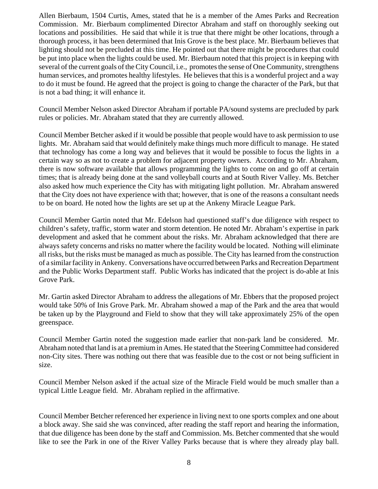Allen Bierbaum, 1504 Curtis, Ames, stated that he is a member of the Ames Parks and Recreation Commission. Mr. Bierbaum complimented Director Abraham and staff on thoroughly seeking out locations and possibilities. He said that while it is true that there might be other locations, through a thorough process, it has been determined that Inis Grove is the best place. Mr. Bierbaum believes that lighting should not be precluded at this time. He pointed out that there might be procedures that could be put into place when the lights could be used. Mr. Bierbaum noted that this project is in keeping with several of the current goals of the City Council, i.e., promotes the sense of One Community, strengthens human services, and promotes healthy lifestyles. He believes that this is a wonderful project and a way to do it must be found. He agreed that the project is going to change the character of the Park, but that is not a bad thing; it will enhance it.

Council Member Nelson asked Director Abraham if portable PA/sound systems are precluded by park rules or policies. Mr. Abraham stated that they are currently allowed.

Council Member Betcher asked if it would be possible that people would have to ask permission to use lights. Mr. Abraham said that would definitely make things much more difficult to manage. He stated that technology has come a long way and believes that it would be possible to focus the lights in a certain way so as not to create a problem for adjacent property owners. According to Mr. Abraham, there is now software available that allows programming the lights to come on and go off at certain times; that is already being done at the sand volleyball courts and at South River Valley. Ms. Betcher also asked how much experience the City has with mitigating light pollution. Mr. Abraham answered that the City does not have experience with that; however, that is one of the reasons a consultant needs to be on board. He noted how the lights are set up at the Ankeny Miracle League Park.

Council Member Gartin noted that Mr. Edelson had questioned staff's due diligence with respect to children's safety, traffic, storm water and storm detention. He noted Mr. Abraham's expertise in park development and asked that he comment about the risks. Mr. Abraham acknowledged that there are always safety concerns and risks no matter where the facility would be located. Nothing will eliminate all risks, but the risks must be managed as much as possible. The City has learned from the construction of a similar facility in Ankeny. Conversations have occurred between Parks and Recreation Department and the Public Works Department staff. Public Works has indicated that the project is do-able at Inis Grove Park.

Mr. Gartin asked Director Abraham to address the allegations of Mr. Ebbers that the proposed project would take 50% of Inis Grove Park. Mr. Abraham showed a map of the Park and the area that would be taken up by the Playground and Field to show that they will take approximately 25% of the open greenspace.

Council Member Gartin noted the suggestion made earlier that non-park land be considered. Mr. Abraham noted that land is at a premium in Ames. He stated that the Steering Committee had considered non-City sites. There was nothing out there that was feasible due to the cost or not being sufficient in size.

Council Member Nelson asked if the actual size of the Miracle Field would be much smaller than a typical Little League field. Mr. Abraham replied in the affirmative.

Council Member Betcher referenced her experience in living next to one sports complex and one about a block away. She said she was convinced, after reading the staff report and hearing the information, that due diligence has been done by the staff and Commission. Ms. Betcher commented that she would like to see the Park in one of the River Valley Parks because that is where they already play ball.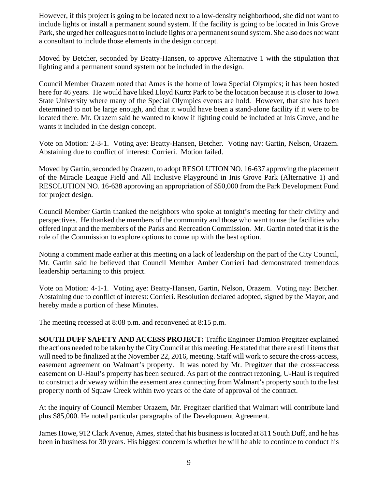However, if this project is going to be located next to a low-density neighborhood, she did not want to include lights or install a permanent sound system. If the facility is going to be located in Inis Grove Park, she urged her colleagues not to include lights or a permanent sound system. She also does not want a consultant to include those elements in the design concept.

Moved by Betcher, seconded by Beatty-Hansen, to approve Alternative 1 with the stipulation that lighting and a permanent sound system not be included in the design.

Council Member Orazem noted that Ames is the home of Iowa Special Olympics; it has been hosted here for 46 years. He would have liked Lloyd Kurtz Park to be the location because it is closer to Iowa State University where many of the Special Olympics events are hold. However, that site has been determined to not be large enough, and that it would have been a stand-alone facility if it were to be located there. Mr. Orazem said he wanted to know if lighting could be included at Inis Grove, and he wants it included in the design concept.

Vote on Motion: 2-3-1. Voting aye: Beatty-Hansen, Betcher. Voting nay: Gartin, Nelson, Orazem. Abstaining due to conflict of interest: Corrieri. Motion failed.

Moved by Gartin, seconded by Orazem, to adopt RESOLUTION NO. 16-637 approving the placement of the Miracle League Field and All Inclusive Playground in Inis Grove Park (Alternative 1) and RESOLUTION NO. 16-638 approving an appropriation of \$50,000 from the Park Development Fund for project design.

Council Member Gartin thanked the neighbors who spoke at tonight's meeting for their civility and perspectives. He thanked the members of the community and those who want to use the facilities who offered input and the members of the Parks and Recreation Commission. Mr. Gartin noted that it is the role of the Commission to explore options to come up with the best option.

Noting a comment made earlier at this meeting on a lack of leadership on the part of the City Council, Mr. Gartin said he believed that Council Member Amber Corrieri had demonstrated tremendous leadership pertaining to this project.

Vote on Motion: 4-1-1. Voting aye: Beatty-Hansen, Gartin, Nelson, Orazem. Voting nay: Betcher. Abstaining due to conflict of interest: Corrieri. Resolution declared adopted, signed by the Mayor, and hereby made a portion of these Minutes.

The meeting recessed at 8:08 p.m. and reconvened at 8:15 p.m.

**SOUTH DUFF SAFETY AND ACCESS PROJECT:** Traffic Engineer Damion Pregitzer explained the actions needed to be taken by the City Council at this meeting. He stated that there are still items that will need to be finalized at the November 22, 2016, meeting. Staff will work to secure the cross-access, easement agreement on Walmart's property. It was noted by Mr. Pregitzer that the cross=access easement on U-Haul's property has been secured. As part of the contract rezoning, U-Haul is required to construct a driveway within the easement area connecting from Walmart's property south to the last property north of Squaw Creek within two years of the date of approval of the contract.

At the inquiry of Council Member Orazem, Mr. Pregitzer clarified that Walmart will contribute land plus \$85,000. He noted particular paragraphs of the Development Agreement.

James Howe, 912 Clark Avenue, Ames, stated that his business is located at 811 South Duff, and he has been in business for 30 years. His biggest concern is whether he will be able to continue to conduct his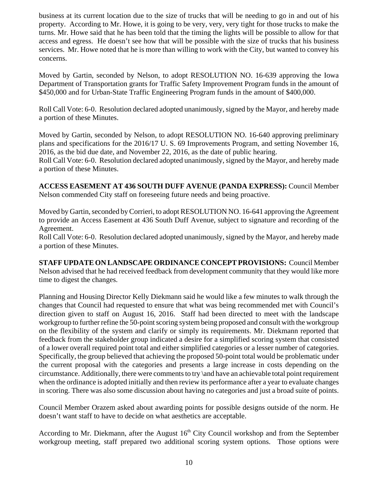business at its current location due to the size of trucks that will be needing to go in and out of his property. According to Mr. Howe, it is going to be very, very, very tight for those trucks to make the turns. Mr. Howe said that he has been told that the timing the lights will be possible to allow for that access and egress. He doesn't see how that will be possible with the size of trucks that his business services. Mr. Howe noted that he is more than willing to work with the City, but wanted to convey his concerns.

Moved by Gartin, seconded by Nelson, to adopt RESOLUTION NO. 16-639 approving the Iowa Department of Transportation grants for Traffic Safety Improvement Program funds in the amount of \$450,000 and for Urban-State Traffic Engineering Program funds in the amount of \$400,000.

Roll Call Vote: 6-0. Resolution declared adopted unanimously, signed by the Mayor, and hereby made a portion of these Minutes.

Moved by Gartin, seconded by Nelson, to adopt RESOLUTION NO. 16-640 approving preliminary plans and specifications for the 2016/17 U. S. 69 Improvements Program, and setting November 16, 2016, as the bid due date, and November 22, 2016, as the date of public hearing.

Roll Call Vote: 6-0. Resolution declared adopted unanimously, signed by the Mayor, and hereby made a portion of these Minutes.

**ACCESS EASEMENT AT 436 SOUTH DUFF AVENUE (PANDA EXPRESS):** Council Member Nelson commended City staff on foreseeing future needs and being proactive.

Moved by Gartin, seconded by Corrieri, to adopt RESOLUTION NO. 16-641 approving the Agreement to provide an Access Easement at 436 South Duff Avenue, subject to signature and recording of the Agreement.

Roll Call Vote: 6-0. Resolution declared adopted unanimously, signed by the Mayor, and hereby made a portion of these Minutes.

**STAFF UPDATE ON LANDSCAPE ORDINANCE CONCEPT PROVISIONS:** Council Member Nelson advised that he had received feedback from development community that they would like more time to digest the changes.

Planning and Housing Director Kelly Diekmann said he would like a few minutes to walk through the changes that Council had requested to ensure that what was being recommended met with Council's direction given to staff on August 16, 2016. Staff had been directed to meet with the landscape workgroup to further refine the 50-point scoring system being proposed and consult with the workgroup on the flexibility of the system and clarify or simply its requirements. Mr. Diekmann reported that feedback from the stakeholder group indicated a desire for a simplified scoring system that consisted of a lower overall required point total and either simplified categories or a lesser number of categories. Specifically, the group believed that achieving the proposed 50-point total would be problematic under the current proposal with the categories and presents a large increase in costs depending on the circumstance. Additionally, there were comments to try \and have an achievable total point requirement when the ordinance is adopted initially and then review its performance after a year to evaluate changes in scoring. There was also some discussion about having no categories and just a broad suite of points.

Council Member Orazem asked about awarding points for possible designs outside of the norm. He doesn't want staff to have to decide on what aesthetics are acceptable.

According to Mr. Diekmann, after the August  $16<sup>th</sup>$  City Council workshop and from the September workgroup meeting, staff prepared two additional scoring system options. Those options were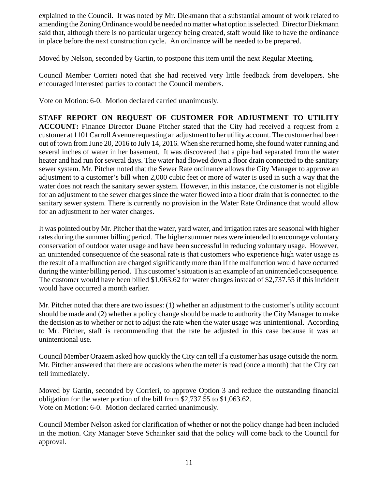explained to the Council. It was noted by Mr. Diekmann that a substantial amount of work related to amending the Zoning Ordinance would be needed no matter what option is selected. Director Diekmann said that, although there is no particular urgency being created, staff would like to have the ordinance in place before the next construction cycle. An ordinance will be needed to be prepared.

Moved by Nelson, seconded by Gartin, to postpone this item until the next Regular Meeting.

Council Member Corrieri noted that she had received very little feedback from developers. She encouraged interested parties to contact the Council members.

Vote on Motion: 6-0. Motion declared carried unanimously.

**STAFF REPORT ON REQUEST OF CUSTOMER FOR ADJUSTMENT TO UTILITY ACCOUNT:** Finance Director Duane Pitcher stated that the City had received a request from a customer at 1101 Carroll Avenue requesting an adjustment to her utility account. The customer had been out of town from June 20, 2016 to July 14, 2016. When she returned home, she found water running and several inches of water in her basement. It was discovered that a pipe had separated from the water heater and had run for several days. The water had flowed down a floor drain connected to the sanitary sewer system. Mr. Pitcher noted that the Sewer Rate ordinance allows the City Manager to approve an adjustment to a customer's bill when 2,000 cubic feet or more of water is used in such a way that the water does not reach the sanitary sewer system. However, in this instance, the customer is not eligible for an adjustment to the sewer charges since the water flowed into a floor drain that is connected to the sanitary sewer system. There is currently no provision in the Water Rate Ordinance that would allow for an adjustment to her water charges.

It was pointed out by Mr. Pitcher that the water, yard water, and irrigation rates are seasonal with higher rates during the summer billing period. The higher summer rates were intended to encourage voluntary conservation of outdoor water usage and have been successful in reducing voluntary usage. However, an unintended consequence of the seasonal rate is that customers who experience high water usage as the result of a malfunction are charged significantly more than if the malfunction would have occurred during the winter billing period. This customer's situation is an example of an unintended consequence. The customer would have been billed \$1,063.62 for water charges instead of \$2,737.55 if this incident would have occurred a month earlier.

Mr. Pitcher noted that there are two issues: (1) whether an adjustment to the customer's utility account should be made and (2) whether a policy change should be made to authority the City Manager to make the decision as to whether or not to adjust the rate when the water usage was unintentional. According to Mr. Pitcher, staff is recommending that the rate be adjusted in this case because it was an unintentional use.

Council Member Orazem asked how quickly the City can tell if a customer has usage outside the norm. Mr. Pitcher answered that there are occasions when the meter is read (once a month) that the City can tell immediately.

Moved by Gartin, seconded by Corrieri, to approve Option 3 and reduce the outstanding financial obligation for the water portion of the bill from \$2,737.55 to \$1,063.62. Vote on Motion: 6-0. Motion declared carried unanimously.

Council Member Nelson asked for clarification of whether or not the policy change had been included in the motion. City Manager Steve Schainker said that the policy will come back to the Council for approval.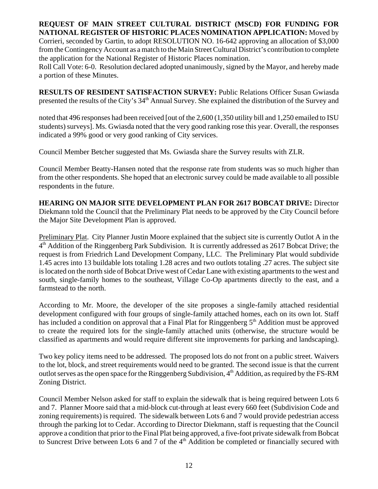## **REQUEST OF MAIN STREET CULTURAL DISTRICT (MSCD) FOR FUNDING FOR NATIONAL REGISTER OF HISTORIC PLACES NOMINATION APPLICATION:** Moved by

Corrieri, seconded by Gartin, to adopt RESOLUTION NO. 16-642 approving an allocation of \$3,000 from the Contingency Account as a match to the Main Street Cultural District's contribution to complete the application for the National Register of Historic Places nomination.

Roll Call Vote: 6-0. Resolution declared adopted unanimously, signed by the Mayor, and hereby made a portion of these Minutes.

**RESULTS OF RESIDENT SATISFACTION SURVEY:** Public Relations Officer Susan Gwiasda presented the results of the City's 34<sup>th</sup> Annual Survey. She explained the distribution of the Survey and

noted that 496 responses had been received [out of the 2,600 (1,350 utility bill and 1,250 emailed to ISU students) surveys]. Ms. Gwiasda noted that the very good ranking rose this year. Overall, the responses indicated a 99% good or very good ranking of City services.

Council Member Betcher suggested that Ms. Gwiasda share the Survey results with ZLR.

Council Member Beatty-Hansen noted that the response rate from students was so much higher than from the other respondents. She hoped that an electronic survey could be made available to all possible respondents in the future.

**HEARING ON MAJOR SITE DEVELOPMENT PLAN FOR 2617 BOBCAT DRIVE:** Director Diekmann told the Council that the Preliminary Plat needs to be approved by the City Council before the Major Site Development Plan is approved.

Preliminary Plat. City Planner Justin Moore explained that the subject site is currently Outlot A in the 4th Addition of the Ringgenberg Park Subdivision. It is currently addressed as 2617 Bobcat Drive; the request is from Friedrich Land Development Company, LLC. The Preliminary Plat would subdivide 1.45 acres into 13 buildable lots totaling 1.28 acres and two outlots totaling .27 acres. The subject site is located on the north side of Bobcat Drive west of Cedar Lane with existing apartments to the west and south, single-family homes to the southeast, Village Co-Op apartments directly to the east, and a farmstead to the north.

According to Mr. Moore, the developer of the site proposes a single-family attached residential development configured with four groups of single-family attached homes, each on its own lot. Staff has included a condition on approval that a Final Plat for Ringgenberg  $5<sup>th</sup>$  Addition must be approved to create the required lots for the single-family attached units (otherwise, the structure would be classified as apartments and would require different site improvements for parking and landscaping).

Two key policy items need to be addressed. The proposed lots do not front on a public street. Waivers to the lot, block, and street requirements would need to be granted. The second issue is that the current outlot serves as the open space for the Ringgenberg Subdivision, 4<sup>th</sup> Addition, as required by the FS-RM Zoning District.

Council Member Nelson asked for staff to explain the sidewalk that is being required between Lots 6 and 7. Planner Moore said that a mid-block cut-through at least every 660 feet (Subdivision Code and zoning requirements) is required. The sidewalk between Lots 6 and 7 would provide pedestrian access through the parking lot to Cedar. According to Director Diekmann, staff is requesting that the Council approve a condition that prior to the Final Plat being approved, a five-foot private sidewalk from Bobcat to Suncrest Drive between Lots 6 and 7 of the  $4<sup>th</sup>$  Addition be completed or financially secured with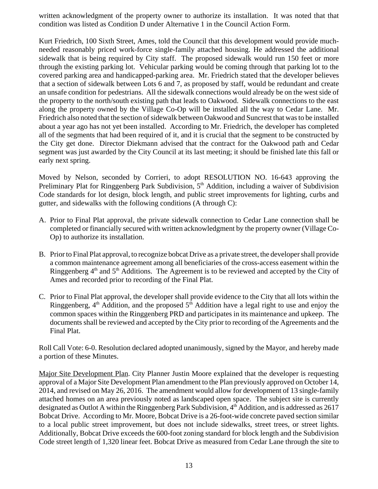written acknowledgment of the property owner to authorize its installation. It was noted that that condition was listed as Condition D under Alternative 1 in the Council Action Form.

Kurt Friedrich, 100 Sixth Street, Ames, told the Council that this development would provide muchneeded reasonably priced work-force single-family attached housing. He addressed the additional sidewalk that is being required by City staff. The proposed sidewalk would run 150 feet or more through the existing parking lot. Vehicular parking would be coming through that parking lot to the covered parking area and handicapped-parking area. Mr. Friedrich stated that the developer believes that a section of sidewalk between Lots 6 and 7, as proposed by staff, would be redundant and create an unsafe condition for pedestrians. All the sidewalk connections would already be on the west side of the property to the north/south existing path that leads to Oakwood. Sidewalk connections to the east along the property owned by the Village Co-Op will be installed all the way to Cedar Lane. Mr. Friedrich also noted that the section of sidewalk between Oakwood and Suncrest that was to be installed about a year ago has not yet been installed. According to Mr. Friedrich, the developer has completed all of the segments that had been required of it, and it is crucial that the segment to be constructed by the City get done. Director Diekmann advised that the contract for the Oakwood path and Cedar segment was just awarded by the City Council at its last meeting; it should be finished late this fall or early next spring.

Moved by Nelson, seconded by Corrieri, to adopt RESOLUTION NO. 16-643 approving the Preliminary Plat for Ringgenberg Park Subdivision, 5<sup>th</sup> Addition, including a waiver of Subdivision Code standards for lot design, block length, and public street improvements for lighting, curbs and gutter, and sidewalks with the following conditions (A through C):

- A. Prior to Final Plat approval, the private sidewalk connection to Cedar Lane connection shall be completed or financially secured with written acknowledgment by the property owner (Village Co-Op) to authorize its installation.
- B. Prior to Final Plat approval, to recognize bobcat Drive as a private street, the developer shall provide a common maintenance agreement among all beneficiaries of the cross-access easement within the Ringgenberg  $4<sup>th</sup>$  and  $5<sup>th</sup>$  Additions. The Agreement is to be reviewed and accepted by the City of Ames and recorded prior to recording of the Final Plat.
- C. Prior to Final Plat approval, the developer shall provide evidence to the City that all lots within the Ringgenberg,  $4<sup>th</sup>$  Addition, and the proposed  $5<sup>th</sup>$  Addition have a legal right to use and enjoy the common spaces within the Ringgenberg PRD and participates in its maintenance and upkeep. The documents shall be reviewed and accepted by the City prior to recording of the Agreements and the Final Plat.

Roll Call Vote: 6-0. Resolution declared adopted unanimously, signed by the Mayor, and hereby made a portion of these Minutes.

Major Site Development Plan. City Planner Justin Moore explained that the developer is requesting approval of a Major Site Development Plan amendment to the Plan previously approved on October 14, 2014, and revised on May 26, 2016. The amendment would allow for development of 13 single-family attached homes on an area previously noted as landscaped open space. The subject site is currently designated as Outlot A within the Ringgenberg Park Subdivision, 4<sup>th</sup> Addition, and is addressed as 2617 Bobcat Drive. According to Mr. Moore, Bobcat Drive is a 26-foot-wide concrete paved section similar to a local public street improvement, but does not include sidewalks, street trees, or street lights. Additionally, Bobcat Drive exceeds the 600-foot zoning standard for block length and the Subdivision Code street length of 1,320 linear feet. Bobcat Drive as measured from Cedar Lane through the site to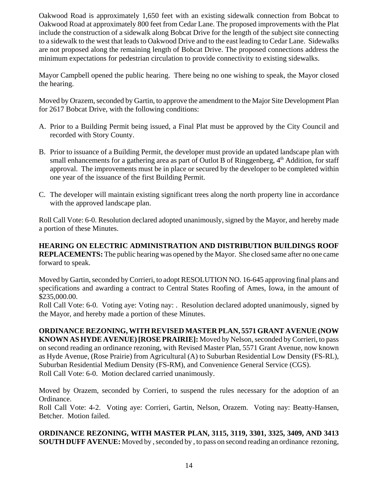Oakwood Road is approximately 1,650 feet with an existing sidewalk connection from Bobcat to Oakwood Road at approximately 800 feet from Cedar Lane. The proposed improvements with the Plat include the construction of a sidewalk along Bobcat Drive for the length of the subject site connecting to a sidewalk to the west that leads to Oakwood Drive and to the east leading to Cedar Lane. Sidewalks are not proposed along the remaining length of Bobcat Drive. The proposed connections address the minimum expectations for pedestrian circulation to provide connectivity to existing sidewalks.

Mayor Campbell opened the public hearing. There being no one wishing to speak, the Mayor closed the hearing.

Moved by Orazem, seconded by Gartin, to approve the amendment to the Major Site Development Plan for 2617 Bobcat Drive, with the following conditions:

- A. Prior to a Building Permit being issued, a Final Plat must be approved by the City Council and recorded with Story County.
- B. Prior to issuance of a Building Permit, the developer must provide an updated landscape plan with small enhancements for a gathering area as part of Outlot B of Ringgenberg,  $4<sup>th</sup>$  Addition, for staff approval. The improvements must be in place or secured by the developer to be completed within one year of the issuance of the first Building Permit.
- C. The developer will maintain existing significant trees along the north property line in accordance with the approved landscape plan.

Roll Call Vote: 6-0. Resolution declared adopted unanimously, signed by the Mayor, and hereby made a portion of these Minutes.

**HEARING ON ELECTRIC ADMINISTRATION AND DISTRIBUTION BUILDINGS ROOF REPLACEMENTS:** The public hearing was opened by the Mayor. She closed same after no one came forward to speak.

Moved by Gartin, seconded by Corrieri, to adopt RESOLUTION NO. 16-645 approving final plans and specifications and awarding a contract to Central States Roofing of Ames, Iowa, in the amount of \$235,000.00.

Roll Call Vote: 6-0. Voting aye: Voting nay: . Resolution declared adopted unanimously, signed by the Mayor, and hereby made a portion of these Minutes.

**ORDINANCE REZONING, WITH REVISED MASTER PLAN, 5571 GRANT AVENUE (NOW KNOWN AS HYDE AVENUE) [ROSE PRAIRIE]:** Moved by Nelson, seconded by Corrieri, to pass on second reading an ordinance rezoning, with Revised Master Plan, 5571 Grant Avenue, now known as Hyde Avenue, (Rose Prairie) from Agricultural (A) to Suburban Residential Low Density (FS-RL), Suburban Residential Medium Density (FS-RM), and Convenience General Service (CGS). Roll Call Vote: 6-0. Motion declared carried unanimously.

Moved by Orazem, seconded by Corrieri, to suspend the rules necessary for the adoption of an Ordinance.

Roll Call Vote: 4-2. Voting aye: Corrieri, Gartin, Nelson, Orazem. Voting nay: Beatty-Hansen, Betcher. Motion failed.

**ORDINANCE REZONING, WITH MASTER PLAN, 3115, 3119, 3301, 3325, 3409, AND 3413 SOUTH DUFF AVENUE:** Moved by , seconded by , to pass on second reading an ordinance rezoning,